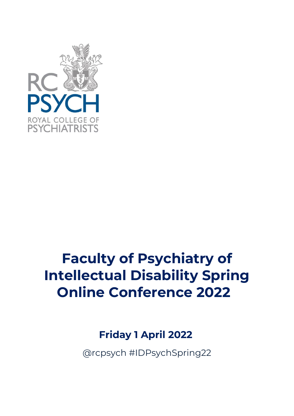

# **Faculty of Psychiatry of Intellectual Disability Spring Online Conference 2022**

## **Friday 1 April 2022**

@rcpsych #IDPsychSpring22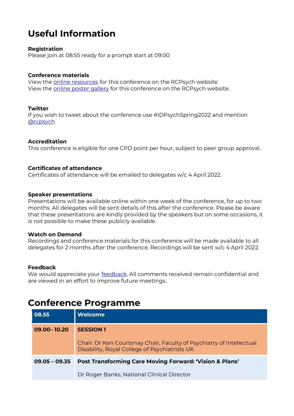### **Useful Information**

#### **Registration**

Please join at 08:55 ready for a prompt start at 09:00

#### **Conference materials**

View the [online resources](https://www.rcpsych.ac.uk/events/conferences/Intellectual-Disability-Spring-Conference-2022---online-resources) for this conference on the RCPsych website View the [online poster gallery](https://www.rcpsych.ac.uk/events/conferences/2022/poster-viewing-faculty-of-intellectual-disability-psychiatry-spring-online-conference-2022) for this conference on the RCPsych website.

#### **Twitter**

If you wish to tweet about the conference use #IDPsychSpring2022 and mention [@rcpsych](https://twitter.com/rcpsych)

#### **Accreditation**

This conference is eligible for one CPD point per hour, subject to peer group approval.

#### **Certificates of attendance**

Certificates of attendance will be emailed to delegates w/c 4 April 2022.  

#### **Speaker presentations**

Presentations will be available online within one week of the conference, for up to two months. All delegates will be sent details of this after the conference. Please be aware that these presentations are kindly provided by the speakers but on some occasions, it is not possible to make these publicly available.  

#### **Watch on Demand**

Recordings and conference materials for this conference will be made available to all delegates for 2 months after the conference. Recordings will be sent w/c 4 April 2022.

#### **Feedback**

We would appreciate your [feedback.](https://www.surveymonkey.co.uk/r/F3PDNVZ) All comments received remain confidential and are viewed in an effort to improve future meetings.

### **Conference Programme**

| 08.55           | <b>Welcome</b>                                                                                                        |
|-----------------|-----------------------------------------------------------------------------------------------------------------------|
| 09.00 - 10.20   | <b>SESSION 1</b>                                                                                                      |
|                 | Chair: Dr Ken Courtenay Chair, Faculty of Psychiatry of Intellectual<br>Disability, Royal College of Psychiatrists UK |
| $09.05 - 09.35$ | <b>Post Transforming Care Moving Forward: 'Vision &amp; Plans'</b>                                                    |
|                 | Dr Roger Banks, National Clinical Director                                                                            |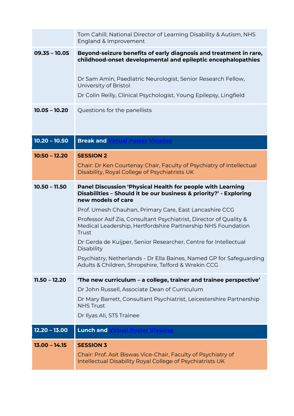|                 | Tom Cahill, National Director of Learning Disability & Autism, NHS<br>England & Improvement                                                                                                                                                                                                                                                                                                                                                                                                                                                                                                 |
|-----------------|---------------------------------------------------------------------------------------------------------------------------------------------------------------------------------------------------------------------------------------------------------------------------------------------------------------------------------------------------------------------------------------------------------------------------------------------------------------------------------------------------------------------------------------------------------------------------------------------|
| $09.35 - 10.05$ | Beyond-seizure benefits of early diagnosis and treatment in rare,<br>childhood-onset developmental and epileptic encephalopathies<br>Dr Sam Amin, Paediatric Neurologist, Senior Research Fellow,<br>University of Bristol<br>Dr Colin Reilly, Clinical Psychologist, Young Epilepsy, Lingfield                                                                                                                                                                                                                                                                                             |
| $10.05 - 10.20$ | Questions for the panellists                                                                                                                                                                                                                                                                                                                                                                                                                                                                                                                                                                |
| $10.20 - 10.50$ | <b>Break and Virtual Poster Viewing</b>                                                                                                                                                                                                                                                                                                                                                                                                                                                                                                                                                     |
| $10:50 - 12.20$ | <b>SESSION 2</b><br>Chair: Dr Ken Courtenay Chair, Faculty of Psychiatry of Intellectual<br>Disability, Royal College of Psychiatrists UK                                                                                                                                                                                                                                                                                                                                                                                                                                                   |
| $10.50 - 11.50$ | <b>Panel Discussion 'Physical Health for people with Learning</b><br>Disabilities - Should it be our business & priority?' - Exploring<br>new models of care<br>Prof. Umesh Chauhan, Primary Care, East Lancashire CCG<br>Professor Asif Zia, Consultant Psychiatrist, Director of Quality &<br>Medical Leadership, Hertfordshire Partnership NHS Foundation<br>Trust<br>Dr Gerda de Kuijper, Senior Researcher, Centre for Intellectual<br><b>Disability</b><br>Psychiatry, Netherlands - Dr Ella Baines, Named GP for Safeguarding<br>Adults & Children, Shropshire, Telford & Wrekin CCG |
| $11.50 - 12.20$ | 'The new curriculum - a college, trainer and trainee perspective'<br>Dr John Russell, Associate Dean of Curriculum<br>Dr Mary Barrett, Consultant Psychiatrist, Leicestershire Partnership<br><b>NHS Trust</b><br>Dr Ilyas Ali, ST5 Trainee                                                                                                                                                                                                                                                                                                                                                 |
| $12.20 - 13.00$ | <b>Lunch and Virtual Poster Viewing</b>                                                                                                                                                                                                                                                                                                                                                                                                                                                                                                                                                     |
| $13.00 - 14.15$ | <b>SESSION 3</b><br>Chair: Prof. Asit Biswas Vice-Chair, Faculty of Psychiatry of<br>Intellectual Disability Royal College of Psychiatrists UK                                                                                                                                                                                                                                                                                                                                                                                                                                              |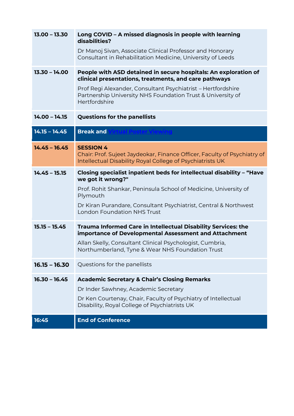| $13.00 - 13.30$ | Long COVID - A missed diagnosis in people with learning<br>disabilities?                                                                                  |
|-----------------|-----------------------------------------------------------------------------------------------------------------------------------------------------------|
|                 | Dr Manoj Sivan, Associate Clinical Professor and Honorary<br>Consultant in Rehabilitation Medicine, University of Leeds                                   |
| $13.30 - 14.00$ | People with ASD detained in secure hospitals: An exploration of<br>clinical presentations, treatments, and care pathways                                  |
|                 | Prof Regi Alexander, Consultant Psychiatrist - Hertfordshire<br>Partnership University NHS Foundation Trust & University of<br>Hertfordshire              |
| $14.00 - 14.15$ | <b>Questions for the panellists</b>                                                                                                                       |
| $14.15 - 14.45$ | <b>Break and Virtual Poster Viewing</b>                                                                                                                   |
| $14.45 - 16.45$ | <b>SESSION 4</b><br>Chair: Prof. Sujeet Jaydeokar, Finance Officer, Faculty of Psychiatry of<br>Intellectual Disability Royal College of Psychiatrists UK |
| $14.45 - 15.15$ | Closing specialist inpatient beds for intellectual disability - "Have<br>we got it wrong?"                                                                |
|                 | Prof. Rohit Shankar, Peninsula School of Medicine, University of<br>Plymouth                                                                              |
|                 | Dr Kiran Purandare, Consultant Psychiatrist, Central & Northwest<br><b>London Foundation NHS Trust</b>                                                    |
| $15.15 - 15.45$ | Trauma Informed Care in Intellectual Disability Services: the<br>importance of Developmental Assessment and Attachment                                    |
|                 | Allan Skelly, Consultant Clinical Psychologist, Cumbria,<br>Northumberland, Tyne & Wear NHS Foundation Trust                                              |
| $16.15 - 16.30$ | Questions for the panellists                                                                                                                              |
| $16.30 - 16.45$ | <b>Academic Secretary &amp; Chair's Closing Remarks</b>                                                                                                   |
|                 | Dr Inder Sawhney, Academic Secretary<br>Dr Ken Courtenay, Chair, Faculty of Psychiatry of Intellectual<br>Disability, Royal College of Psychiatrists UK   |
| 16:45           | <b>End of Conference</b>                                                                                                                                  |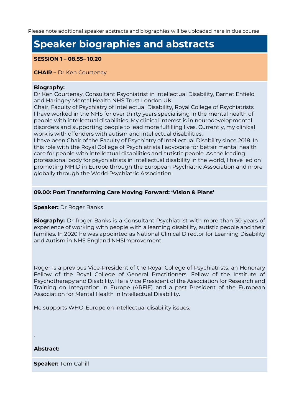Please note additional speaker abstracts and biographies will be uploaded here in due course

### **Speaker biographies and abstracts**

#### **SESSION 1 – 08.55– 10.20**

#### **CHAIR –** Dr Ken Courtenay

#### **Biography:**

Dr Ken Courtenay, Consultant Psychiatrist in Intellectual Disability, Barnet Enfield and Haringey Mental Health NHS Trust London UK

Chair, Faculty of Psychiatry of Intellectual Disability, Royal College of Psychiatrists I have worked in the NHS for over thirty years specialising in the mental health of people with intellectual disabilities. My clinical interest is in neurodevelopmental disorders and supporting people to lead more fulfilling lives. Currently, my clinical work is with offenders with autism and intellectual disabilities.

I have been Chair of the Faculty of Psychiatry of Intellectual Disability since 2018. In this role with the Royal College of Psychiatrists I advocate for better mental health care for people with intellectual disabilities and autistic people. As the leading professional body for psychiatrists in intellectual disability in the world, I have led on promoting MHID in Europe through the European Psychiatric Association and more globally through the World Psychiatric Association.

#### **09.00: Post Transforming Care Moving Forward: 'Vision & Plans'**

**Speaker:** Dr Roger Banks

**Biography:** Dr Roger Banks is a Consultant Psychiatrist with more than 30 years of experience of working with people with a learning disability, autistic people and their families. In 2020 he was appointed as National Clinical Director for Learning Disability and Autism in NHS England NHSImprovement.

Roger is a previous Vice-President of the Royal College of Psychiatrists, an Honorary Fellow of the Royal College of General Practitioners, Fellow of the Institute of Psychotherapy and Disability. He is Vice President of the Association for Research and Training on Integration in Europe (ARFIE) and a past President of the European Association for Mental Health in Intellectual Disability.

He supports WHO-Europe on intellectual disability issues.

#### **Abstract:**

.

**Speaker:** Tom Cahill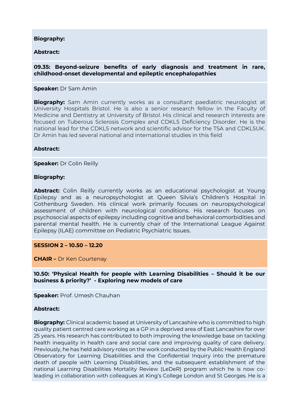#### **Biography:**

#### **Abstract:**

**09.35: Beyond-seizure benefits of early diagnosis and treatment in rare, childhood-onset developmental and epileptic encephalopathies**

#### **Speaker:** Dr Sam Amin

**Biography:** Sam Amin currently works as a consultant paediatric neurologist at University Hospitals Bristol. He is also a senior research fellow in the Faculty of Medicine and Dentistry at University of Bristol. His clinical and research interests are focused on Tuberous Sclerosis Complex and CDKL5 Deficiency Disorder. He is the national lead for the CDKL5 network and scientific advisor for the TSA and CDKL5UK. Dr Amin has led several national and international studies in this field

#### **Abstract:**

**Speaker:** Dr Colin Reilly

#### **Biography:**

**Abstract:** Colin Reilly currently works as an educational psychologist at Young Epilepsy and as a neuropsychologist at Queen Silvia's Children's Hospital in Gothenburg Sweden. His clinical work primarily focuses on neuropsychological assessment of children with neurological conditions. His research focuses on psychosocial aspects of epilepsy including cognitive and behavioral comorbidities and parental mental health. He is currently chair of the International League Against Epilepsy (ILAE) committee on Pediatric Psychiatric Issues.

#### **SESSION 2 – 10.50 – 12.20**

**CHAIR –** Dr Ken Courtenay

**10.50: 'Physical Health for people with Learning Disabilities – Should it be our business & priority?' - Exploring new models of care**

**Speaker:** Prof. Umesh Chauhan

#### **Abstract:**

**Biography:** Clinical academic based at University of Lancashire who is committed to high quality patient centred care working as a GP in a deprived area of East Lancashire for over 25 years. His research has contributed to both improving the knowledge base on tackling health inequality in health care and social care and improving quality of care delivery. Previously, he has held advisory roles on the work conducted by the Public Health England Observatory for Learning Disabilities and the Confidential Inquiry into the premature death of people with Learning Disabilities, and the subsequent establishment of the national Learning Disabilities Mortality Review (LeDeR) program which he is now coleading in collaboration with colleagues at King's College London and St Georges. He is a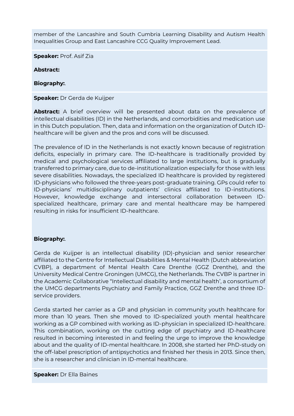member of the Lancashire and South Cumbria Learning Disability and Autism Health Inequalities Group and East Lancashire CCG Quality Improvement Lead.

**Speaker:** Prof. Asif Zia

**Abstract:** 

**Biography:**.

**Speaker:** Dr Gerda de Kuijper

**Abstract:** A brief overview will be presented about data on the prevalence of intellectual disabilities (ID) in the Netherlands, and comorbidities and medication use in this Dutch population. Then, data and information on the organization of Dutch IDhealthcare will be given and the pros and cons will be discussed.

The prevalence of ID in the Netherlands is not exactly known because of registration deficits, especially in primary care. The ID-healthcare is traditionally provided by medical and psychological services affiliated to large institutions, but is gradually transferred to primary care, due to de-institutionalization especially for those with less severe disabilities. Nowadays, the specialized ID healthcare is provided by registered ID-physicians who followed the three-years post-graduate training. GPs could refer to ID-physicians' multidisciplinary outpatients' clinics affiliated to ID-institutions. However, knowledge exchange and intersectoral collaboration between IDspecialized healthcare, primary care and mental healthcare may be hampered resulting in risks for insufficient ID-healthcare.

#### **Biography:**.

Gerda de Kuijper is an intellectual disability (ID)-physician and senior researcher affiliated to the Centre for Intellectual Disabilities & Mental Health (Dutch abbreviation CVBP), a department of Mental Health Care Drenthe (GGZ Drenthe), and the University Medical Centre Groningen (UMCG), the Netherlands. The CVBP is partner in the Academic Collaborative "Intellectual disability and mental health', a consortium of the UMCG departments Psychiatry and Family Practice, GGZ Drenthe and three IDservice providers.

Gerda started her carrier as a GP and physician in community youth healthcare for more than 10 years. Then she moved to ID-specialized youth mental healthcare working as a GP combined with working as ID-physician in specialized ID-healthcare. This combination, working on the cutting edge of psychiatry and ID-healthcare resulted in becoming interested in and feeling the urge to improve the knowledge about and the quality of ID-mental healthcare. In 2008, she started her PhD-study on the off-label prescription of antipsychotics and finished her thesis in 2013. Since then, she is a researcher and clinician in ID-mental healthcare.

#### **Speaker:** Dr Ella Baines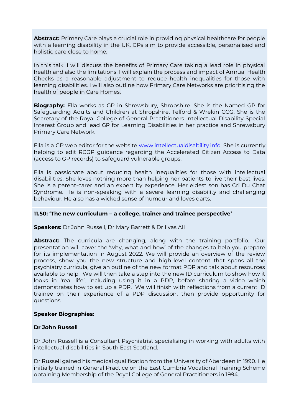**Abstract:** Primary Care plays a crucial role in providing physical healthcare for people with a learning disability in the UK. GPs aim to provide accessible, personalised and holistic care close to home.

In this talk, I will discuss the benefits of Primary Care taking a lead role in physical health and also the limitations. I will explain the process and impact of Annual Health Checks as a reasonable adjustment to reduce health inequalities for those with learning disabilities. I will also outline how Primary Care Networks are prioritising the health of people in Care Homes.

**Biography:** Ella works as GP in Shrewsbury, Shropshire. She is the Named GP for Safeguarding Adults and Children at Shropshire, Telford & Wrekin CCG. She is the Secretary of the Royal College of General Practitioners Intellectual Disability Special Interest Group and lead GP for Learning Disabilities in her practice and Shrewsbury Primary Care Network.

Ella is a GP web editor for the website [www.intellectualdisability.info.](http://www.intellectualdisability.info/) She is currently helping to edit RCGP guidance regarding the Accelerated Citizen Access to Data (access to GP records) to safeguard vulnerable groups.

Ella is passionate about reducing health inequalities for those with intellectual disabilities. She loves nothing more than helping her patients to live their best lives. She is a parent-carer and an expert by experience. Her eldest son has Cri Du Chat Syndrome. He is non-speaking with a severe learning disability and challenging behaviour. He also has a wicked sense of humour and loves darts.

#### **11.50: 'The new curriculum – a college, trainer and trainee perspective'**

**Speakers:** Dr John Russell, Dr Mary Barrett & Dr Ilyas Ali

**Abstract:** The curricula are changing, along with the training portfolio. Our presentation will cover the 'why, what and how' of the changes to help you prepare for its implementation in August 2022. We will provide an overview of the review process, show you the new structure and high-level content that spans all the psychiatry curricula, give an outline of the new format PDP and talk about resources available to help. We will then take a step into the new ID curriculum to show how it looks in 'real life', including using it in a PDP, before sharing a video which demonstrates how to set up a PDP. We will finish with reflections from a current ID trainee on their experience of a PDP discussion, then provide opportunity for questions.

#### **Speaker Biographies:**

#### **Dr John Russell**

Dr John Russell is a Consultant Psychiatrist specialising in working with adults with intellectual disabilities in South East Scotland.

Dr Russell gained his medical qualification from the University of Aberdeen in 1990. He initially trained in General Practice on the East Cumbria Vocational Training Scheme obtaining Membership of the Royal College of General Practitioners in 1994.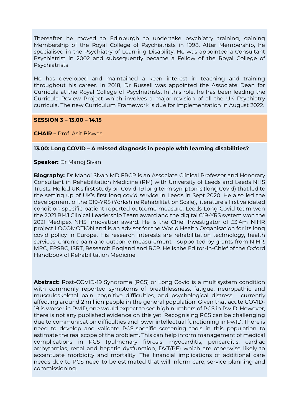Thereafter he moved to Edinburgh to undertake psychiatry training, gaining Membership of the Royal College of Psychiatrists in 1998. After Membership, he specialised in the Psychiatry of Learning Disability. He was appointed a Consultant Psychiatrist in 2002 and subsequently became a Fellow of the Royal College of **Psychiatrists** 

He has developed and maintained a keen interest in teaching and training throughout his career. In 2018, Dr Russell was appointed the Associate Dean for Curricula at the Royal College of Psychiatrists. In this role, he has been leading the Curricula Review Project which involves a major revision of all the UK Psychiatry curricula. The new Curriculum Framework is due for implementation in August 2022.

#### **SESSION 3 – 13.00 – 14.15**

**CHAIR –** Prof. Asit Biswas

#### **13.00: Long COVID – A missed diagnosis in people with learning disabilities?**

#### **Speaker:** Dr Manoj Sivan

**Biography:** Dr Manoj Sivan MD FRCP is an Associate Clinical Professor and Honorary Consultant in Rehabilitation Medicine (RM) with University of Leeds and Leeds NHS Trusts. He led UK's first study on Covid-19 long term symptoms (long Covid) that led to the setting up of UK's first long covid service in Leeds in Sept 2020. He also led the development of the C19-YRS (Yorkshire Rehabilitation Scale), literature's first validated condition-specific patient reported outcome measure. Leeds Long Covid team won the 2021 BMJ Clinical Leadership Team award and the digital C19-YRS system won the 2021 Medipex NHS Innovation award. He is the Chief Investigator of £3.4m NIHR project LOCOMOTION and is an advisor for the World Health Organisation for its long covid policy in Europe. His research interests are rehabilitation technology, health services, chronic pain and outcome measurement - supported by grants from NIHR, MRC, EPSRC, ISRT, Research England and RCP. He is the Editor-in-Chief of the Oxford Handbook of Rehabilitation Medicine.

**Abstract:** Post-COVID-19 Syndrome (PCS) or Long Covid is a multisystem condition with commonly reported symptoms of breathlessness, fatigue, neuropathic and musculoskeletal pain, cognitive difficulties, and psychological distress - currently affecting around 2 million people in the general population. Given that acute COVID-19 is worser in PwID, one would expect to see high numbers of PCS in PwID. However, there is not any published evidence on this yet. Recognising PCS can be challenging due to communication difficulties and lower intellectual functioning in PwID. There is need to develop and validate PCS-specific screening tools in this population to estimate the real scope of the problem. This can help inform management of medical complications in PCS (pulmonary fibrosis, myocarditis, pericarditis, cardiac arrhythmias, renal and hepatic dysfunction, DVT/PE) which are otherwise likely to accentuate morbidity and mortality. The financial implications of additional care needs due to PCS need to be estimated that will inform care, service planning and commissioning.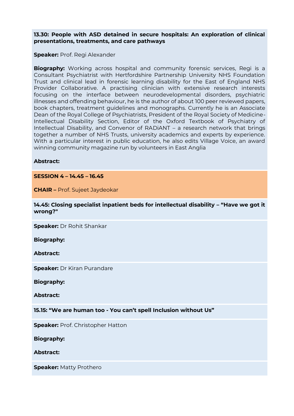#### **13.30: People with ASD detained in secure hospitals: An exploration of clinical presentations, treatments, and care pathways**

**Speaker:** Prof. Regi Alexander

**Biography:** Working across hospital and community forensic services. Regi is a Consultant Psychiatrist with Hertfordshire Partnership University NHS Foundation Trust and clinical lead in forensic learning disability for the East of England NHS Provider Collaborative. A practising clinician with extensive research interests focusing on the interface between neurodevelopmental disorders, psychiatric illnesses and offending behaviour, he is the author of about 100 peer reviewed papers, book chapters, treatment guidelines and monographs. Currently he is an Associate Dean of the Royal College of Psychiatrists, President of the Royal Society of Medicine-Intellectual Disability Section, Editor of the Oxford Textbook of Psychiatry of Intellectual Disability, and Convenor of RADiANT – a research network that brings together a number of NHS Trusts, university academics and experts by experience. With a particular interest in public education, he also edits Village Voice, an award winning community magazine run by volunteers in East Anglia

#### **Abstract:**

#### **SESSION 4 – 14.45 – 16.45**

**CHAIR –** Prof. Sujeet Jaydeokar

**14.45: Closing specialist inpatient beds for intellectual disability – "Have we got it wrong?"**

**Speaker:** Dr Rohit Shankar

**Biography:**

**Abstract:**

**Speaker:** Dr Kiran Purandare

**Biography:**

**Abstract:**

**15.15: "We are human too - You can't spell Inclusion without Us"**

**Speaker:** Prof. Christopher Hatton

**Biography:**

**Abstract:**

**Speaker:** Matty Prothero